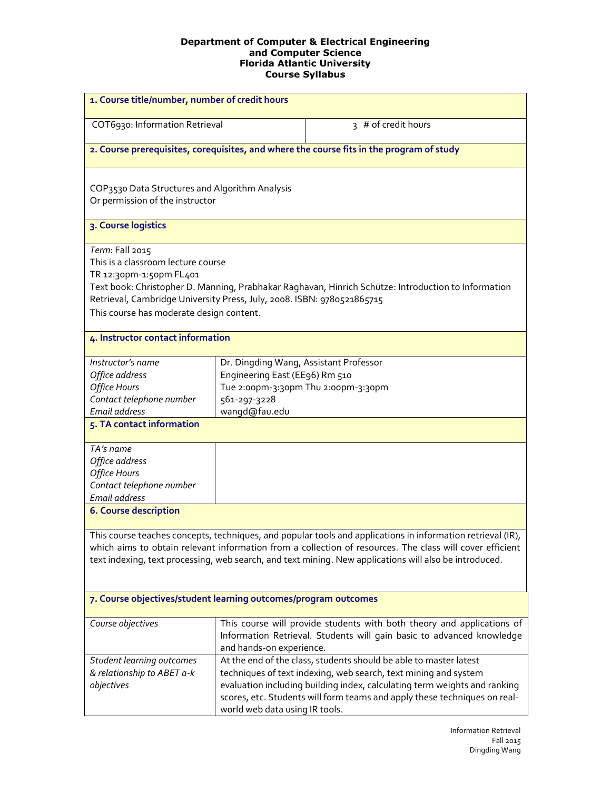| 1. Course title/number, number of credit hours                                                                                                                                                                                                                                                                                    |                                                                                                           |                                                                                                                                                                                                                                                                                                |  |
|-----------------------------------------------------------------------------------------------------------------------------------------------------------------------------------------------------------------------------------------------------------------------------------------------------------------------------------|-----------------------------------------------------------------------------------------------------------|------------------------------------------------------------------------------------------------------------------------------------------------------------------------------------------------------------------------------------------------------------------------------------------------|--|
| COT6930: Information Retrieval                                                                                                                                                                                                                                                                                                    |                                                                                                           | 3 # of credit hours                                                                                                                                                                                                                                                                            |  |
| 2. Course prerequisites, corequisites, and where the course fits in the program of study                                                                                                                                                                                                                                          |                                                                                                           |                                                                                                                                                                                                                                                                                                |  |
| COP3530 Data Structures and Algorithm Analysis<br>Or permission of the instructor                                                                                                                                                                                                                                                 |                                                                                                           |                                                                                                                                                                                                                                                                                                |  |
| 3. Course logistics                                                                                                                                                                                                                                                                                                               |                                                                                                           |                                                                                                                                                                                                                                                                                                |  |
| Term: Fall 2015<br>This is a classroom lecture course<br>TR 12:30pm-1:50pm FL401<br>Retrieval, Cambridge University Press, July, 2008. ISBN: 9780521865715<br>This course has moderate design content.                                                                                                                            |                                                                                                           | Text book: Christopher D. Manning, Prabhakar Raghavan, Hinrich Schütze: Introduction to Information                                                                                                                                                                                            |  |
| 4. Instructor contact information                                                                                                                                                                                                                                                                                                 |                                                                                                           |                                                                                                                                                                                                                                                                                                |  |
| Instructor's name<br>Office address<br><b>Office Hours</b><br>Contact telephone number<br>Email address                                                                                                                                                                                                                           | Dr. Dingding Wang, Assistant Professor<br>Engineering East (EE96) Rm 510<br>561-297-3228<br>wangd@fau.edu | Tue 2:00pm-3:30pm Thu 2:00pm-3:30pm                                                                                                                                                                                                                                                            |  |
| 5. TA contact information                                                                                                                                                                                                                                                                                                         |                                                                                                           |                                                                                                                                                                                                                                                                                                |  |
| TA's name<br>Office address<br>Office Hours<br>Contact telephone number<br>Email address                                                                                                                                                                                                                                          |                                                                                                           |                                                                                                                                                                                                                                                                                                |  |
| <b>6. Course description</b>                                                                                                                                                                                                                                                                                                      |                                                                                                           |                                                                                                                                                                                                                                                                                                |  |
| This course teaches concepts, techniques, and popular tools and applications in information retrieval (IR),<br>which aims to obtain relevant information from a collection of resources. The class will cover efficient<br>text indexing, text processing, web search, and text mining. New applications will also be introduced. |                                                                                                           |                                                                                                                                                                                                                                                                                                |  |
| 7. Course objectives/student learning outcomes/program outcomes                                                                                                                                                                                                                                                                   |                                                                                                           |                                                                                                                                                                                                                                                                                                |  |
| Course objectives                                                                                                                                                                                                                                                                                                                 | and hands-on experience.                                                                                  | This course will provide students with both theory and applications of<br>Information Retrieval. Students will gain basic to advanced knowledge                                                                                                                                                |  |
| Student learning outcomes<br>& relationship to ABET a-k<br>objectives                                                                                                                                                                                                                                                             | world web data using IR tools.                                                                            | At the end of the class, students should be able to master latest<br>techniques of text indexing, web search, text mining and system<br>evaluation including building index, calculating term weights and ranking<br>scores, etc. Students will form teams and apply these techniques on real- |  |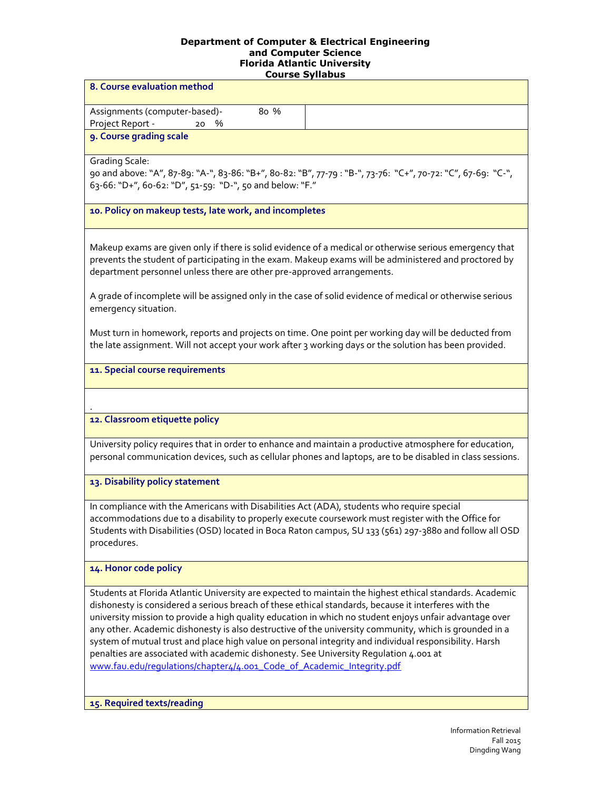| course synapus                                                                                                                                                                                                                                                                                                                                                                                                                                                                                                                                                                                                                                                                                                    |  |  |  |
|-------------------------------------------------------------------------------------------------------------------------------------------------------------------------------------------------------------------------------------------------------------------------------------------------------------------------------------------------------------------------------------------------------------------------------------------------------------------------------------------------------------------------------------------------------------------------------------------------------------------------------------------------------------------------------------------------------------------|--|--|--|
| 8. Course evaluation method                                                                                                                                                                                                                                                                                                                                                                                                                                                                                                                                                                                                                                                                                       |  |  |  |
| Assignments (computer-based)-<br>8o %<br>Project Report -<br>%<br>20                                                                                                                                                                                                                                                                                                                                                                                                                                                                                                                                                                                                                                              |  |  |  |
| 9. Course grading scale                                                                                                                                                                                                                                                                                                                                                                                                                                                                                                                                                                                                                                                                                           |  |  |  |
| <b>Grading Scale:</b><br>90 and above: "A", 87-89: "A-", 83-86: "B+", 80-82: "B", 77-79: "B-", 73-76: "C+", 70-72: "C", 67-69: "C-",<br>63-66: "D+", 60-62: "D", 51-59: "D-", 50 and below: "F."                                                                                                                                                                                                                                                                                                                                                                                                                                                                                                                  |  |  |  |
| 10. Policy on makeup tests, late work, and incompletes                                                                                                                                                                                                                                                                                                                                                                                                                                                                                                                                                                                                                                                            |  |  |  |
| Makeup exams are given only if there is solid evidence of a medical or otherwise serious emergency that<br>prevents the student of participating in the exam. Makeup exams will be administered and proctored by<br>department personnel unless there are other pre-approved arrangements.                                                                                                                                                                                                                                                                                                                                                                                                                        |  |  |  |
| A grade of incomplete will be assigned only in the case of solid evidence of medical or otherwise serious<br>emergency situation.                                                                                                                                                                                                                                                                                                                                                                                                                                                                                                                                                                                 |  |  |  |
| Must turn in homework, reports and projects on time. One point per working day will be deducted from<br>the late assignment. Will not accept your work after 3 working days or the solution has been provided.                                                                                                                                                                                                                                                                                                                                                                                                                                                                                                    |  |  |  |
| 11. Special course requirements                                                                                                                                                                                                                                                                                                                                                                                                                                                                                                                                                                                                                                                                                   |  |  |  |
|                                                                                                                                                                                                                                                                                                                                                                                                                                                                                                                                                                                                                                                                                                                   |  |  |  |
| 12. Classroom etiquette policy                                                                                                                                                                                                                                                                                                                                                                                                                                                                                                                                                                                                                                                                                    |  |  |  |
| University policy requires that in order to enhance and maintain a productive atmosphere for education,<br>personal communication devices, such as cellular phones and laptops, are to be disabled in class sessions.                                                                                                                                                                                                                                                                                                                                                                                                                                                                                             |  |  |  |
| 13. Disability policy statement                                                                                                                                                                                                                                                                                                                                                                                                                                                                                                                                                                                                                                                                                   |  |  |  |
| In compliance with the Americans with Disabilities Act (ADA), students who require special<br>accommodations due to a disability to properly execute coursework must register with the Office for<br>Students with Disabilities (OSD) located in Boca Raton campus, SU 133 (561) 297-3880 and follow all OSD<br>procedures.                                                                                                                                                                                                                                                                                                                                                                                       |  |  |  |
| 14. Honor code policy                                                                                                                                                                                                                                                                                                                                                                                                                                                                                                                                                                                                                                                                                             |  |  |  |
| Students at Florida Atlantic University are expected to maintain the highest ethical standards. Academic<br>dishonesty is considered a serious breach of these ethical standards, because it interferes with the<br>university mission to provide a high quality education in which no student enjoys unfair advantage over<br>any other. Academic dishonesty is also destructive of the university community, which is grounded in a<br>system of mutual trust and place high value on personal integrity and individual responsibility. Harsh<br>penalties are associated with academic dishonesty. See University Regulation 4.001 at<br>www.fau.edu/regulations/chapter4/4.001_Code_of_Academic_Integrity.pdf |  |  |  |

**15. Required texts/reading**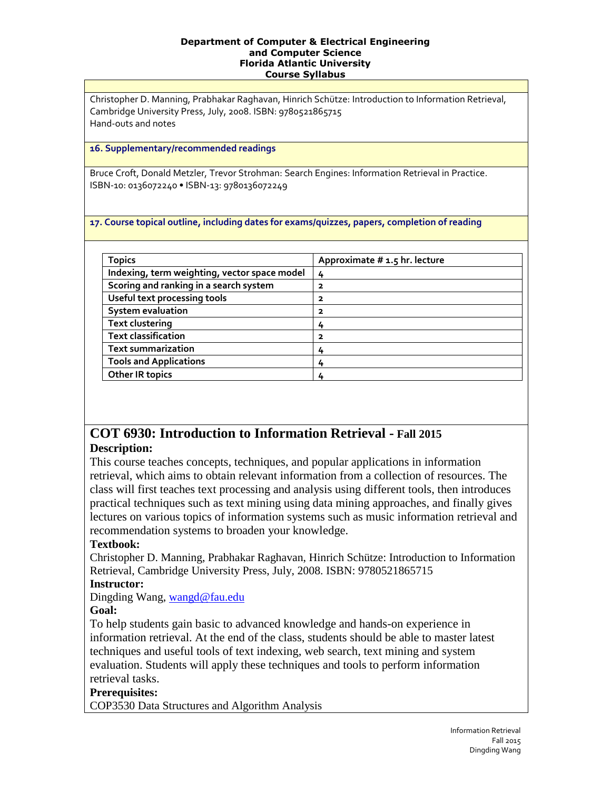Christopher D. Manning, Prabhakar Raghavan, Hinrich Schütze: Introduction to Information Retrieval, Cambridge University Press, July, 2008. ISBN: 9780521865715 Hand-outs and notes

#### **16. Supplementary/recommended readings**

Bruce Croft, Donald Metzler, Trevor Strohman: Search Engines: Information Retrieval in Practice. ISBN-10: 0136072240 • ISBN-13: 9780136072249

#### **17. Course topical outline, including dates for exams/quizzes, papers, completion of reading**

| <b>Topics</b>                                | Approximate # 1.5 hr. lecture |
|----------------------------------------------|-------------------------------|
| Indexing, term weighting, vector space model | 4                             |
| Scoring and ranking in a search system       | 2                             |
| Useful text processing tools                 | 2                             |
| <b>System evaluation</b>                     | 2                             |
| <b>Text clustering</b>                       | 4                             |
| <b>Text classification</b>                   | 2                             |
| <b>Text summarization</b>                    | 4                             |
| <b>Tools and Applications</b>                | 4                             |
| <b>Other IR topics</b>                       |                               |

# **COT 6930: Introduction to Information Retrieval - Fall 2015 Description:**

This course teaches concepts, techniques, and popular applications in information retrieval, which aims to obtain relevant information from a collection of resources. The class will first teaches text processing and analysis using different tools, then introduces practical techniques such as text mining using data mining approaches, and finally gives lectures on various topics of information systems such as music information retrieval and recommendation systems to broaden your knowledge.

## **Textbook:**

Christopher D. Manning, Prabhakar Raghavan, Hinrich Schütze: Introduction to Information Retrieval, Cambridge University Press, July, 2008. ISBN: 9780521865715

## **Instructor:**

Dingding Wang, [wangd@fau.edu](mailto:wangd@fau.edu)

## **Goal:**

To help students gain basic to advanced knowledge and hands-on experience in information retrieval. At the end of the class, students should be able to master latest techniques and useful tools of text indexing, web search, text mining and system evaluation. Students will apply these techniques and tools to perform information retrieval tasks.

## **Prerequisites:**

COP3530 Data Structures and Algorithm Analysis